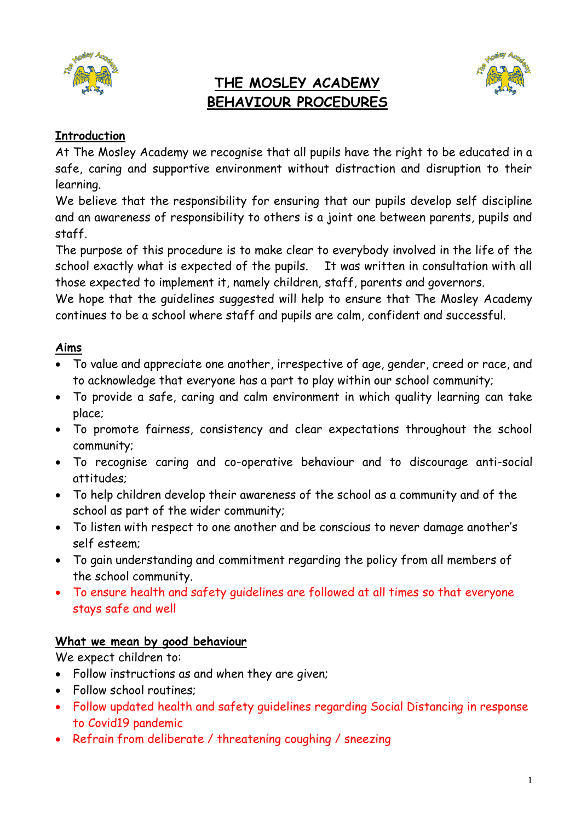

# **THE MOSLEY ACADEMY BEHAVIOUR PROCEDURES**



## **Introduction**

At The Mosley Academy we recognise that all pupils have the right to be educated in a safe, caring and supportive environment without distraction and disruption to their learning.

We believe that the responsibility for ensuring that our pupils develop self discipline and an awareness of responsibility to others is a joint one between parents, pupils and staff.

The purpose of this procedure is to make clear to everybody involved in the life of the school exactly what is expected of the pupils. It was written in consultation with all those expected to implement it, namely children, staff, parents and governors.

We hope that the guidelines suggested will help to ensure that The Mosley Academy continues to be a school where staff and pupils are calm, confident and successful.

## **Aims**

- To value and appreciate one another, irrespective of age, gender, creed or race, and to acknowledge that everyone has a part to play within our school community;
- To provide a safe, caring and calm environment in which quality learning can take place;
- To promote fairness, consistency and clear expectations throughout the school community;
- To recognise caring and co-operative behaviour and to discourage anti-social attitudes;
- To help children develop their awareness of the school as a community and of the school as part of the wider community;
- To listen with respect to one another and be conscious to never damage another's self esteem;
- To gain understanding and commitment regarding the policy from all members of the school community.
- To ensure health and safety guidelines are followed at all times so that everyone stays safe and well

## **What we mean by good behaviour**

We expect children to:

- Follow instructions as and when they are given;
- Follow school routines;
- Follow updated health and safety guidelines regarding Social Distancing in response to Covid19 pandemic
- Refrain from deliberate / threatening coughing / sneezing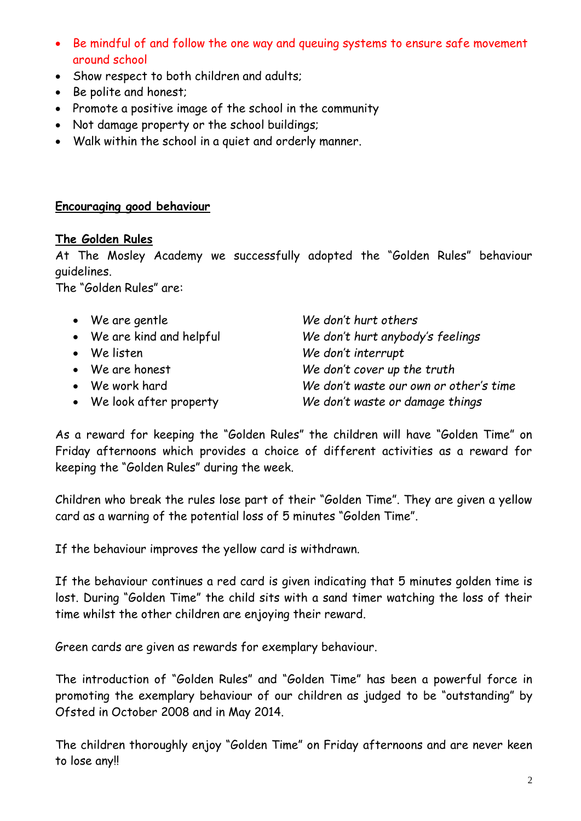- Be mindful of and follow the one way and queuing systems to ensure safe movement around school
- Show respect to both children and adults;
- Be polite and honest;
- Promote a positive image of the school in the community
- Not damage property or the school buildings;
- Walk within the school in a quiet and orderly manner.

#### **Encouraging good behaviour**

#### **The Golden Rules**

At The Mosley Academy we successfully adopted the "Golden Rules" behaviour guidelines.

The "Golden Rules" are:

 We are gentle *We don't hurt others* We are kind and helpful *We don't hurt anybody's feelings* We listen *We don't interrupt* We are honest *We don't cover up the truth* We work hard *We don't waste our own or other's time* We look after property *We don't waste or damage things*

As a reward for keeping the "Golden Rules" the children will have "Golden Time" on Friday afternoons which provides a choice of different activities as a reward for keeping the "Golden Rules" during the week.

Children who break the rules lose part of their "Golden Time". They are given a yellow card as a warning of the potential loss of 5 minutes "Golden Time".

If the behaviour improves the yellow card is withdrawn.

If the behaviour continues a red card is given indicating that 5 minutes golden time is lost. During "Golden Time" the child sits with a sand timer watching the loss of their time whilst the other children are enjoying their reward.

Green cards are given as rewards for exemplary behaviour.

The introduction of "Golden Rules" and "Golden Time" has been a powerful force in promoting the exemplary behaviour of our children as judged to be "outstanding" by Ofsted in October 2008 and in May 2014.

The children thoroughly enjoy "Golden Time" on Friday afternoons and are never keen to lose any!!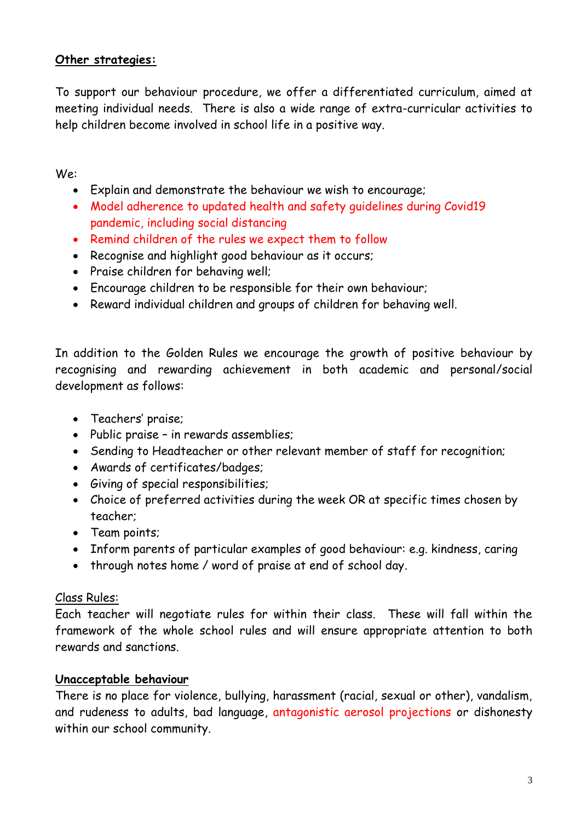## **Other strategies:**

To support our behaviour procedure, we offer a differentiated curriculum, aimed at meeting individual needs. There is also a wide range of extra-curricular activities to help children become involved in school life in a positive way.

We:

- Explain and demonstrate the behaviour we wish to encourage;
- Model adherence to updated health and safety guidelines during Covid19 pandemic, including social distancing
- Remind children of the rules we expect them to follow
- Recognise and highlight good behaviour as it occurs;
- Praise children for behaving well;
- Encourage children to be responsible for their own behaviour;
- Reward individual children and groups of children for behaving well.

In addition to the Golden Rules we encourage the growth of positive behaviour by recognising and rewarding achievement in both academic and personal/social development as follows:

- Teachers' praise;
- Public praise in rewards assemblies;
- Sending to Headteacher or other relevant member of staff for recognition;
- Awards of certificates/badges;
- Giving of special responsibilities;
- Choice of preferred activities during the week OR at specific times chosen by teacher;
- Team points;
- Inform parents of particular examples of good behaviour: e.g. kindness, caring
- through notes home / word of praise at end of school day.

#### Class Rules:

Each teacher will negotiate rules for within their class. These will fall within the framework of the whole school rules and will ensure appropriate attention to both rewards and sanctions.

#### **Unacceptable behaviour**

There is no place for violence, bullying, harassment (racial, sexual or other), vandalism, and rudeness to adults, bad language, antagonistic aerosol projections or dishonesty within our school community.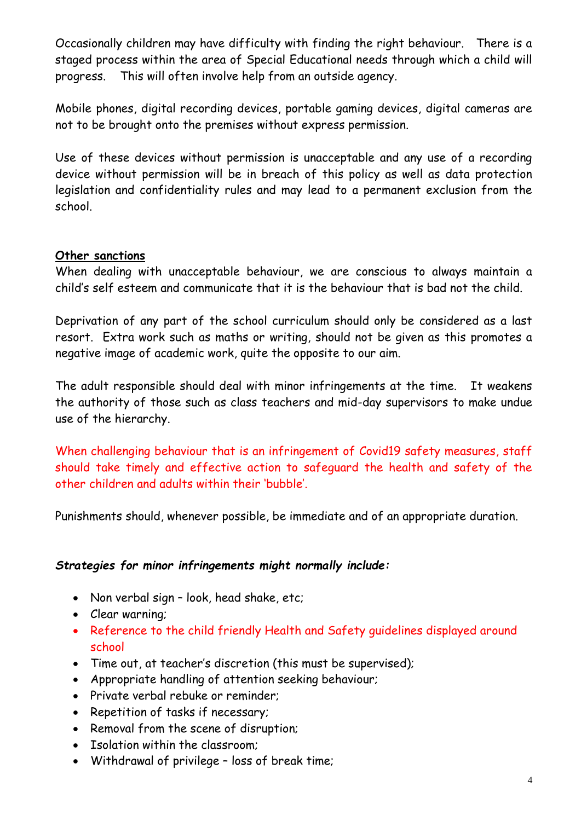Occasionally children may have difficulty with finding the right behaviour. There is a staged process within the area of Special Educational needs through which a child will progress. This will often involve help from an outside agency.

Mobile phones, digital recording devices, portable gaming devices, digital cameras are not to be brought onto the premises without express permission.

Use of these devices without permission is unacceptable and any use of a recording device without permission will be in breach of this policy as well as data protection legislation and confidentiality rules and may lead to a permanent exclusion from the school.

## **Other sanctions**

When dealing with unacceptable behaviour, we are conscious to always maintain a child's self esteem and communicate that it is the behaviour that is bad not the child.

Deprivation of any part of the school curriculum should only be considered as a last resort. Extra work such as maths or writing, should not be given as this promotes a negative image of academic work, quite the opposite to our aim.

The adult responsible should deal with minor infringements at the time. It weakens the authority of those such as class teachers and mid-day supervisors to make undue use of the hierarchy.

When challenging behaviour that is an infringement of Covid19 safety measures, staff should take timely and effective action to safeguard the health and safety of the other children and adults within their 'bubble'.

Punishments should, whenever possible, be immediate and of an appropriate duration.

#### *Strategies for minor infringements might normally include:*

- Non verbal sign look, head shake, etc;
- Clear warning;
- Reference to the child friendly Health and Safety guidelines displayed around school
- Time out, at teacher's discretion (this must be supervised);
- Appropriate handling of attention seeking behaviour;
- Private verbal rebuke or reminder:
- Repetition of tasks if necessary;
- Removal from the scene of disruption;
- Isolation within the classroom:
- Withdrawal of privilege loss of break time;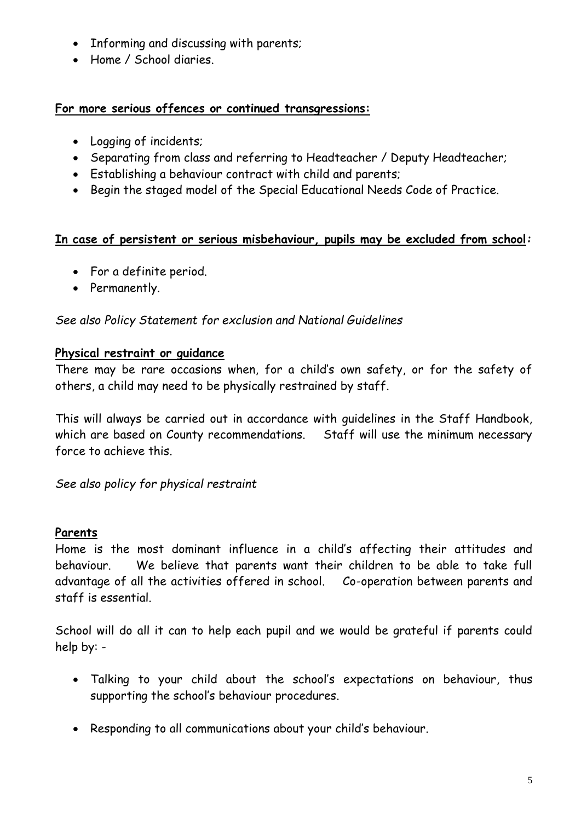- Informing and discussing with parents;
- Home / School diaries.

## **For more serious offences or continued transgressions:**

- Logging of incidents;
- Separating from class and referring to Headteacher / Deputy Headteacher;
- Establishing a behaviour contract with child and parents;
- Begin the staged model of the Special Educational Needs Code of Practice.

## **In case of persistent or serious misbehaviour, pupils may be excluded from school***:*

- For a definite period.
- Permanently.

## *See also Policy Statement for exclusion and National Guidelines*

## **Physical restraint or guidance**

There may be rare occasions when, for a child's own safety, or for the safety of others, a child may need to be physically restrained by staff.

This will always be carried out in accordance with guidelines in the Staff Handbook, which are based on County recommendations. Staff will use the minimum necessary force to achieve this.

*See also policy for physical restraint*

## **Parents**

Home is the most dominant influence in a child's affecting their attitudes and behaviour. We believe that parents want their children to be able to take full advantage of all the activities offered in school. Co-operation between parents and staff is essential.

School will do all it can to help each pupil and we would be grateful if parents could help by: -

- Talking to your child about the school's expectations on behaviour, thus supporting the school's behaviour procedures.
- Responding to all communications about your child's behaviour.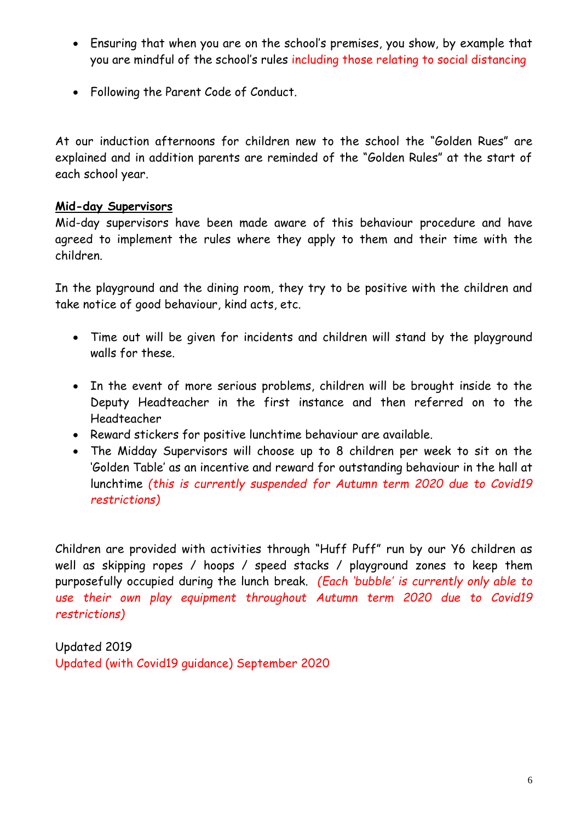- Ensuring that when you are on the school's premises, you show, by example that you are mindful of the school's rules including those relating to social distancing
- Following the Parent Code of Conduct.

At our induction afternoons for children new to the school the "Golden Rues" are explained and in addition parents are reminded of the "Golden Rules" at the start of each school year.

#### **Mid-day Supervisors**

Mid-day supervisors have been made aware of this behaviour procedure and have agreed to implement the rules where they apply to them and their time with the children.

In the playground and the dining room, they try to be positive with the children and take notice of good behaviour, kind acts, etc.

- Time out will be given for incidents and children will stand by the playground walls for these.
- In the event of more serious problems, children will be brought inside to the Deputy Headteacher in the first instance and then referred on to the Headteacher
- Reward stickers for positive lunchtime behaviour are available.
- The Midday Supervisors will choose up to 8 children per week to sit on the 'Golden Table' as an incentive and reward for outstanding behaviour in the hall at lunchtime *(this is currently suspended for Autumn term 2020 due to Covid19 restrictions)*

Children are provided with activities through "Huff Puff" run by our Y6 children as well as skipping ropes / hoops / speed stacks / playground zones to keep them purposefully occupied during the lunch break. *(Each 'bubble' is currently only able to use their own play equipment throughout Autumn term 2020 due to Covid19 restrictions)*

Updated 2019 Updated (with Covid19 guidance) September 2020